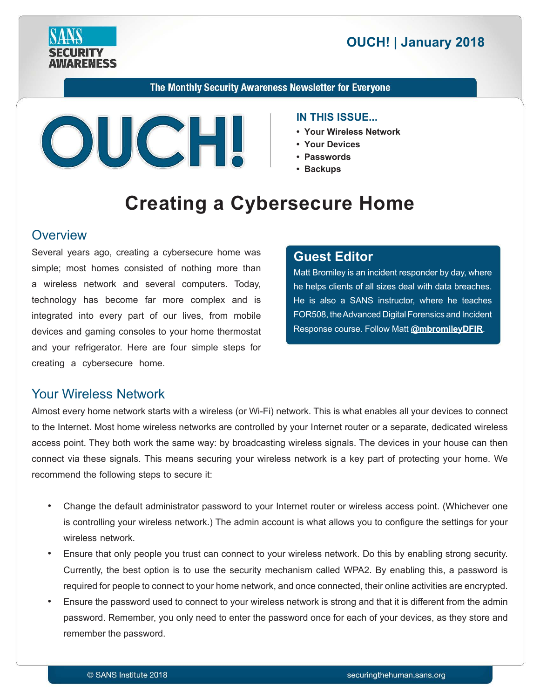**RENESS** 

# **2018 | OUCH! | January 2018**

The Monthly Security Awareness Newsletter for Everyone



#### **IN THIS ISSUE...**

- **Your Wireless Network**
- Your Devices
- **Passwords•**
- **Backups•**

# **Creating a Cybersecure Home**

#### **Overview**

Several years ago, creating a cybersecure home was simple; most homes consisted of nothing more than a wireless network and several computers. Today, technology has become far more complex and is integrated into every part of our lives, from mobile devices and gaming consoles to your home thermostat and your refrigerator. Here are four simple steps for creating a cybersecure home.

#### **Editor Guest**

Matt Bromiley is an incident responder by day, where he helps clients of all sizes deal with data breaches. He is also a SANS instructor, where he teaches FOR508, the Advanced Digital Forensics and Incident Response course. Follow Matt **@[mbromileyDFIR](https://twitter.com/mbromileydfir?lang=en)**.

### **Your Wireless Network**

Almost every home network starts with a wireless (or Wi-Fi) network. This is what enables all your devices to connect to the Internet. Most home wireless networks are controlled by your Internet router or a separate, dedicated wireless access point. They both work the same way: by broadcasting wireless signals. The devices in your house can then connect via these signals. This means securing your wireless network is a key part of protecting your home. We recommend the following steps to secure it:

- Change the default administrator password to your Internet router or wireless access point. (Whichever one is controlling your wireless network.) The admin account is what allows you to configure the settings for your wireless network.
- Ensure that only people you trust can connect to your wireless network. Do this by enabling strong security. Currently, the best option is to use the security mechanism called WPA2. By enabling this, a password is required for people to connect to your home network, and once connected, their online activities are encrypted.
- Ensure the password used to connect to your wireless network is strong and that it is different from the admin password. Remember, you only need to enter the password once for each of your devices, as they store and remember the password.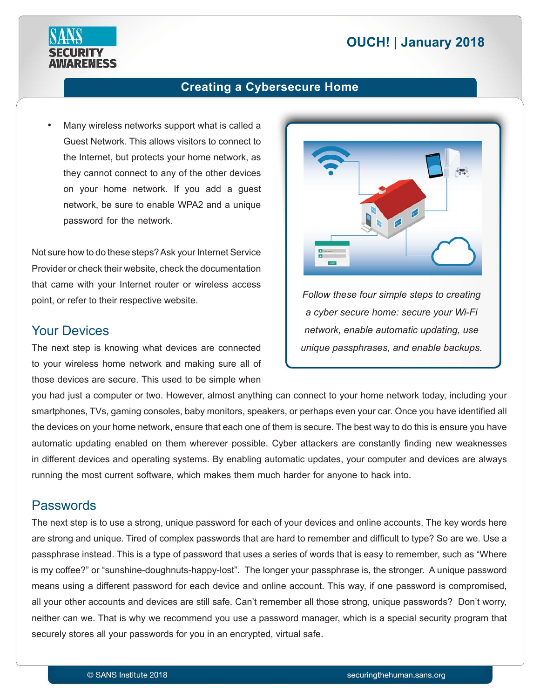# **2018 | OUCH! | January 2018**



### **Creating a Cybersecure Home**

Many wireless networks support what is called a Guest Network. This allows visitors to connect to the Internet, but protects your home network, as they cannot connect to any of the other devices on your home network. If you add a guest network, be sure to enable WPA2 and a unique password for the network.

Not sure how to do these steps? Ask your Internet Service Provider or check their website, check the documentation that came with your Internet router or wireless access point, or refer to their respective website.

#### **Your Devices**

The next step is knowing what devices are connected to your wireless home network and making sure all of those devices are secure. This used to be simple when



**Follow these four simple steps to creating** *a cyber secure home: secure your Wi-Fi network, enable automatic updating, use unique passphrases, and enable backups.* 

you had just a computer or two. However, almost anything can connect to your home network today, including your smartphones, TVs, gaming consoles, baby monitors, speakers, or perhaps even your car. Once you have identified all the devices on your home network, ensure that each one of them is secure. The best way to do this is ensure you have automatic updating enabled on them wherever possible. Cyber attackers are constantly finding new weaknesses in different devices and operating systems. By enabling automatic updates, your computer and devices are always running the most current software, which makes them much harder for anyone to hack into.

#### Passwords

The next step is to use a strong, unique password for each of your devices and online accounts. The key words here are strong and unique. Tired of complex passwords that are hard to remember and difficult to type? So are we. Use a passphrase instead. This is a type of password that uses a series of words that is easy to remember, such as "Where is my coffee?" or "sunshine-doughnuts-happy-lost". The longer your passphrase is, the stronger. A unique password means using a different password for each device and online account. This way, if one password is compromised, all your other accounts and devices are still safe. Can't remember all those strong, unique passwords? Don't worry, neither can we. That is why we recommend you use a password manager, which is a special security program that securely stores all your passwords for you in an encrypted, virtual safe.